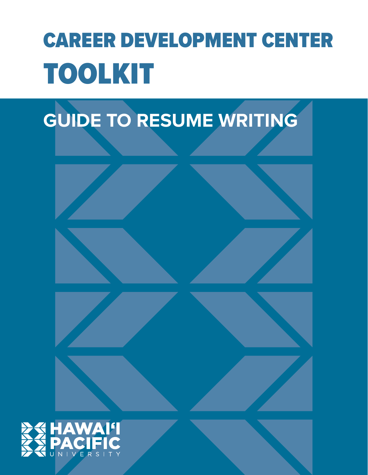# CAREER DEVELOPMENT CENTER TOOLKIT

# **GUIDE TO RESUME WRITING**

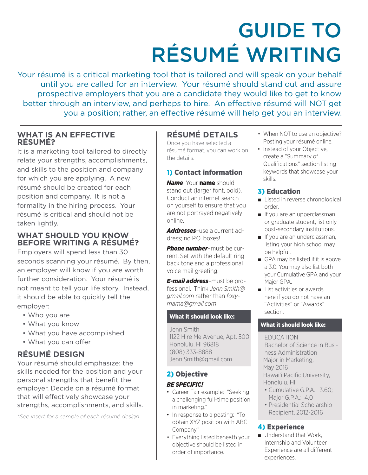# GUIDE TO RÉSUMÉ WRITING

Your résumé is a critical marketing tool that is tailored and will speak on your behalf until you are called for an interview. Your résumé should stand out and assure prospective employers that you are a candidate they would like to get to know better through an interview, and perhaps to hire. An effective résumé will NOT get you a position; rather, an effective résumé will help get you an interview.

## **WHAT IS AN EFFECTIVE RÉSUMÉ?**

It is a marketing tool tailored to directly relate your strengths, accomplishments, and skills to the position and company for which you are applying. A new résumé should be created for each position and company. It is not a formality in the hiring process. Your résumé is critical and should not be taken lightly.

## **WHAT SHOULD YOU KNOW BEFORE WRITING A RÉSUMÉ?**

Employers will spend less than 30 seconds scanning your résumé. By then, an employer will know if you are worth further consideration. Your résumé is not meant to tell your life story. Instead, it should be able to quickly tell the employer:

- Who you are
- What you know
- What you have accomplished
- What you can offer

## **RÉSUMÉ DESIGN**

Your résumé should emphasize: the skills needed for the position and your personal strengths that benefit the employer. Decide on a résumé format that will effectively showcase your strengths, accomplishments, and skills.

*\*See insert for a sample of each résumé design*

## **RÉSUMÉ DETAILS**

Once you have selected a résumé format, you can work on the details.

## 1) Contact information

*Name*–Your name should stand out (larger font, bold). Conduct an internet search on yourself to ensure that you are not portrayed negatively online.

*Addresses*–use a current address; no P.O. boxes!

*Phone number*–must be current. Set with the default ring back tone and a professional voice mail greeting.

*E-mail address*–must be professional. Think *Jenn.Smith@ gmail.com* rather than *foxymama@gmail.com*.

## What it should look like:

Jenn Smith 1122 Hire Me Avenue, Apt. 500 Honolulu, HI 96818 (808) 333-8888 Jenn.Smith@gmail.com

## 2) Objective

## *BE SPECIFIC!*

- Career Fair example: "Seeking a challenging full-time position in marketing."
- In response to a posting: "To obtain XYZ position with ABC Company."
- Everything listed beneath your objective should be listed in order of importance.
- When NOT to use an objective? Posting your résumé online.
- Instead of your Objective, create a "Summary of Qualifications" section listing keywords that showcase your skills.

## 3) Education

- Listed in reverse chronological order.
- If you are an upperclassman or graduate student, list only post-secondary institutions.
- If you are an underclassman, listing your high school may be helpful.
- GPA may be listed if it is above a 3.0. You may also list both your Cumulative GPA and your Major GPA.
- List activities or awards here if you do not have an "Activities" or "Awards" section.

## What it should look like:

EDUCATION Bachelor of Science in Business Administration Major in Marketing, May 2016 Hawai'i Pacific University, Honolulu, HI

- Cumulative G.P.A.: 3.60; Major G.P.A.: 4.0
- Presidential Scholarship Recipient, 2012-2016

## 4) Experience

■ Understand that Work, Internship and Volunteer Experience are all different experiences.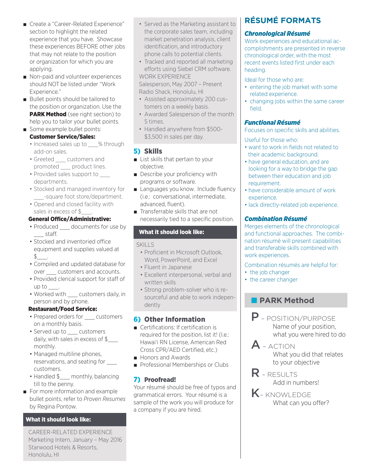- Create a "Career-Related Experience" section to highlight the related experience that you have. Showcase these experiences BEFORE other jobs that may not relate to the position or organization for which you are applying.
- Non-paid and volunteer experiences should NOT be listed under "Work Experience."
- Bullet points should be tailored to the position or organization. Use the **PARK Method** (see right section) to help you to tailor your bullet points.

### ■ Some example bullet points: Customer Service/Sales:

- Increased sales up to % through add-on sales.
- Greeted customers and promoted product lines.
- Provided sales support to departments.
- Stocked and managed inventory for \_\_\_-square foot store/department.
- Opened and closed facility with sales in excess of \$.

## General Office/Administrative:

- Produced documents for use by \_\_\_ staff.
- Stocked and inventoried office equipment and supplies valued at  $$\underline{\$}$ .
- Compiled and updated database for over customers and accounts.
- Provided clerical support for staff of up to  $\qquad$ .
- Worked with customers daily, in person and by phone.

## Restaurant/Food Service:

- Prepared orders for customers on a monthly basis.
- Served up to customers daily, with sales in excess of \$\_\_\_ monthly.
- Managed multiline phones, reservations, and seating for customers.
- Handled \$\_\_\_ monthly, balancing till to the penny.
- For more information and example bullet points, refer to *Proven Resumes* by Regina Pontow.

## What it should look like:

CAREER-RELATED EXPERIENCE Marketing Intern, January – May 2016 Starwood Hotels & Resorts, Honolulu, HI

- Served as the Marketing assistant to the corporate sales team, including market penetration analysis, client identification, and introductory phone calls to potential clients.
- Tracked and reported all marketing efforts using Siebel CRM software. WORK EXPERIENCE

Salesperson, May 2007 – Present Radio Shack, Honolulu, HI

- Assisted approximately 200 customers on a weekly basis.
- Awarded Salesperson of the month 5 times.
- Handled anywhere from \$500- \$3,500 in sales per day.

## 5) Skills

- List skills that pertain to your objective.
- Describe your proficiency with programs or software.
- Languages you know. Include fluency (i.e.: conversational, intermediate, advanced, fluent).
- Transferrable skills that are not necessarily tied to a specific position.

## What it should look like:

## SKILLS

- Proficient in Microsoft Outlook, Word, PowerPoint, and Excel
- Fluent in Japanese
- Excellent interpersonal, verbal and written skills
- Strong problem-solver who is resourceful and able to work independently

## 6) Other Information

- Certifications: If certification is required for the position, list it! (I.e.: Hawai'i RN License, American Red Cross CPR/AED Certified, etc.)
- Honors and Awards
- Professional Memberships or Clubs

## 7) Proofread!

Your résumé should be free of typos and grammatical errors. Your résumé is a sample of the work you will produce for a company if you are hired.

## **RÉSUMÉ FORMATS**

## *Chronological Résumé*

Work experiences and educational accomplishments are presented in reverse chronological order, with the most recent events listed first under each heading.

Ideal for those who are:

- entering the job market with some related experience.
- changing jobs within the same career field.

## *Functional Résumé*

Focuses on specific skills and abilities.

## Useful for those who:

- want to work in fields not related to their academic background.
- have general education, and are looking for a way to bridge the gap between their education and job requirement.
- have considerable amount of work experience.
- lack directly-related job experience.

## *Combination Résumé*

Merges elements of the chronological and functional approaches. The combination résumé will present capabilities and transferable skills combined with work experiences.

Combination résumés are helpful for:

- the job changer
- the career changer

## ■ **PARK Method**

- P POSITION/PURPOSE Name of your position, what you were hired to do
- A ACTION What you did that relates to your objective
- R RESULTS Add in numbers!
- K KNOWLEDGE What can you offer?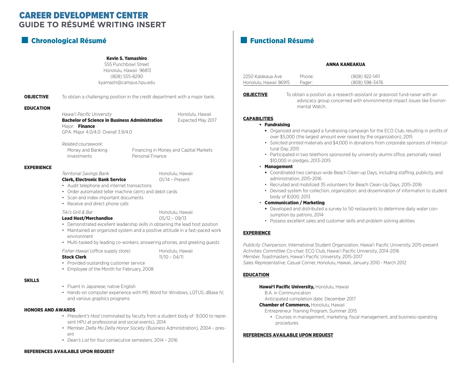## **GUIDE TO RÉSUMÉ WRITING INSERT** CAREER DEVELOPMENT CENTER

## ■ Chronological Résumé ■ Functional Résumé

#### Kevin S. Yamashiro

555 Punchbowl Street Honolulu, Hawaii 96813 (808) 555-8290 kyamashi@campus.hpu.edu

**OBJECTIVE** To obtain a challenging position in the credit department with a major bank.

#### EDUCATION

*Hawai'i Pacific University* **Honolulu, Hawaii** Honolulu, Hawaii Bachelor of Science in Business Administration Expected May 2017 Major: Finance GPA: Major 4.0/4.0 Overall 3.9/4.0

*Related coursework:*

Money and Banking Financing in Money and Capital Markets Investments Personal Finance

#### EXPERIENCE

**Territorial Savings Bank** Honolulu, Hawaii

## Clerk, Electronic Bank Service **DRASH Clerk, Electronic Bank Service 01/14 - Present**

- Audit telephone and internet transactions
- Order automated teller machine (atm) and debit cards
- Scan and index important documents
- Receive and direct phone calls

#### *Tiki's Grill & Bar* **Honolulu, Hawaii**

Lead Host/Merchandise  $05/12 - 09/13$ 

- Demonstrated excellent leadership skills in obtaining the lead host position
- Maintained an organized system and a positive attitude in a fast-paced work environment
- Multi-tasked by leading co-workers, answering phones, and greeting guests

| <b>Stock Clerk</b> |                                     |  |  |
|--------------------|-------------------------------------|--|--|
|                    | Fisher Hawaii (office supply store) |  |  |

*Fisher Hawaii* (office supply store) Honolulu, Hawaii  $11/10 - 04/11$ 

- Provided oustanding customer service
- Employee of the Month for February, 2008

#### SKILLS

- Fluent in Japanese; native English
- Hands-on computer experience with MS Word for Windows, LOTUS, dBase IV, and various graphics programs

#### HONORS AND AWARDS

- *President's Host* (nominated by faculty from a student body of 9,000 to represent HPU at professional and social events), 2014
- Member, *Delta Mu Delta Honor Society* (Business Administration), 2004 present
- *Dean's List* for four consecutive semesters, 2014 2016

#### REFERENCES AVAILABLE UPON REQUEST

#### ANNA KANEAKUA

| 2250 Kalakaua Ave      | Phone: | (808) 922-1411 |
|------------------------|--------|----------------|
| Honolulu, Hawaii 96915 | Pager: | (808) 598-3476 |

**OBJECTIVE** To obtain a position as a research assistant or grassroot fund-raiser with an advocacy group concerned with environmental impact issues like Environmental Watch.

#### CAPABILITIES

#### • Fundraising

- Organized and managed a fundraising campaign for the ECO Club, resulting in profits of over \$5,000 (the largest amount ever raised by the organization), 2015
- Solicited printed materials and \$4,000 in donations from corporate sponsors of Intercultural Day, 2015
- Participated in two telethons sponsored by university alumni office, personally raised \$10,000 in pledges, 2013-2015

#### • Management

- Coordinated two campus-wide Beach Clean-up Days, including staffing, publicity, and administration, 2015-2016
- Recruited and mobilized 35 volunteers for Beach Clean-Up Days, 2015-2016
- Devised system for collection, organization, and dissemination of information to student body of 8,000, 2013
- Communication / Marketing
	- Developed and distributed a survey to 50 restaurants to determine daily water consumption by patrons, 2014
	- Possess excellent sales and customer skills and problem solving abilities

#### **EXPERIENCE**

*Publicity Chairperson,* International Student Organization, Hawai'i Pacific University, 2015-present *Activities Committee Co-chair,* ECO Club, Hawai'i Pacific University, 2014-2016 *Member,* Toastmasters, Hawai'i Pacific University, 2015-2017 *Sales Representative,* Casual Corner, Honolulu, Hawaii, January 2010 - March 2012

#### EDUCATION

#### Hawai'i Pacific University, Honolulu, Hawaii

B.A. in Communication

Anticipated completion date: December 2017

#### **Chamber of Commerce, Honolulu, Hawaii**

Entrepreneur Training Program, Summer 2015

• Courses in management, marketing, fiscal management, and business-operating procedures

#### REFERENCES AVAILABLE UPON REQUEST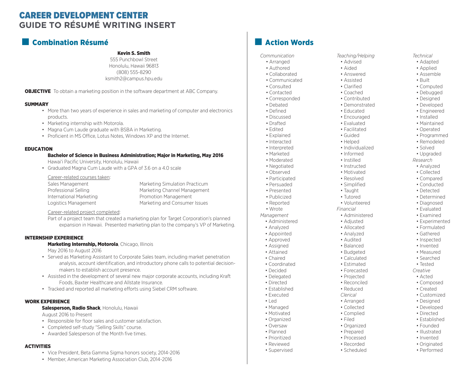## **GUIDE TO RÉSUMÉ WRITING INSERT** CAREER DEVELOPMENT CENTER

## ■ Combination Résumé

### Kevin S. Smith

555 Punchbowl Street Honolulu, Hawaii 96813 (808) 555-8290 ksmith2@campus.hpu.edu

**OBJECTIVE** To obtain a marketing position in the software department at ABC Company.

#### **SUMMARY**

- More than two years of experience in sales and marketing of computer and electronics products.
- Marketing internship with Motorola.
- Magna Cum Laude graduate with BSBA in Marketing.
- Proficient in MS Office, Lotus Notes, Windows XP and the Internet.

#### EDUCATION

Bachelor of Science in Business Administration; Major in Marketing, May 2016 Hawai'i Pacific University, Honolulu, Hawaii

• Graduated Magna Cum Laude with a GPA of 3.6 on a 4.0 scale

#### Career-related courses taken:

Sales Management Marketing Simulation Practicum Professional Selling Marketing Channel Management International Marketing **Promotion Management** Logistics Management Marketing and Consumer Issues

#### Career-related project completed:

Part of a project team that created a marketing plan for Target Corporation's planned expansion in Hawaii. Presented marketing plan to the company's VP of Marketing.

#### INTERNSHIP EXPERIENCE

#### Marketing Internship, Motorola, Chicago, Illinois

May 2016 to August 2016

- Served as Marketing Assistant to Corporate Sales team, including market penetration analysis, account identification, and introductory phone calls to potential decisionmakers to establish account presence.
- Assisted in the development of several new major corporate accounts, including Kraft Foods, Baxter Healthcare and Allstate Insurance.
- Tracked and reported all marketing efforts using Siebel CRM software.

#### WORK EXPERIENCE

#### Salesperson, Radio Shack, Honolulu, Hawaii

August 2016 to Present

- Responsible for floor sales and customer satisfaction.
- Completed self-study "Selling Skills" course.
- Awarded Salesperson of the Month five times.

#### **ACTIVITIES**

- Vice President, Beta Gamma Sigma honors society, 2014-2016
- Member, American Marketing Association Club, 2014-2016

## ■ Action Words

#### *Communication Teaching/Helping Technical*

- Arranged Advised Advised Adapted
- Authored **Andrain Aided** Applied Applied
- Collaborated Answered Answered Assemble
- Communicated Assisted Built
- Consulted Clarified Clarified Computed
- Contacted Coached Coached Debugged
- Corresponded Contributed Designed
- 
- 
- 
- 
- 
- 
- 
- 
- 
- 
- 
- 
- 
- Persuaded Simplified Conducted
- Presented Taught Taught Detected Taught Detected Network Detected Network Detected Network Network Network Network Network Network Network Network Network Network Network Network • Publicized • Tutored • Tutored • Petermined
- Reported Volunteered Piagnosed
- Wrote *Financial* Evaluated
- *Management* Administered Examined
	- Administered Adjusted Adjusted Experimented
	- Analyzed Allocated Allocated Formulated
- Appointed Analyzed Analyzed Gathered
- Approved Audited Audited Inspected
- Assigned Invented Balanced Invented Invented
- Attained Budgeted Measured Measured
- Chaired Calculated Calculated Searched • Coordinated • Estimated • Tested
- Decided Forecasted *Creative*
- Delegated **Projected** Acted Acted
- Directed **Reconciled Reconciled** Composed
- Established Reduced Reduced Created
- Executed *Clerical* Customized
- Led **Arranged Designed**
- Managed Collected Collected Developed
- Motivated Complied Complied Directed
- Organized Filed Established
- Oversaw Organized Provenue Founded
- Planned Prepared Prepared Illustrated
- Prioritized Processed Processed Invented
- Reviewed **Recorded Recorded** Originated
- Supervised Scheduled Performed

- 
- -
	-
	-
	-
- Debated Demonstrated Developed
- Defined **Educated Educated Engineered Engineered**
- Discussed **Encouraged From Encouraged** Installed
- Drafted Evaluated Maintained
- Edited **Facilitated Pacilitated** Operated
- Explained Guided Guided Programmed
- Interacted Helped Remodeled
- Interpreted Individualized Solved
- Marketed Informed Upgraded
- Moderated Instilled *Research*
- Negotiated Instructed Analyzed
- Observed Motivated Collected
- Participated Resolved Resolved Compared